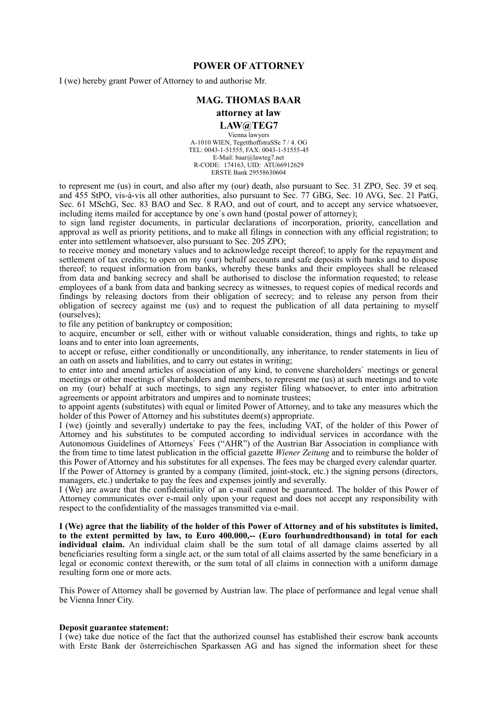## **POWER OF ATTORNEY**

I (we) hereby grant Power of Attorney to and authorise Mr.

## **MAG. THOMAS BAAR**

# **attorney at law**

#### **LAW@TEG7**

Vienna lawyers A-1010 WIEN, TegetthoffstraSSe 7 / 4. OG TEL: 0043-1-51555, FAX: 0043-1-51555-45 E-Mail: baar@lawteg7.net R-CODE: 174163, UID: ATU66912629 ERSTE Bank 29558630604

to represent me (us) in court, and also after my (our) death, also pursuant to Sec. 31 ZPO, Sec. 39 et seq. and 455 StPO, vis-à-vis all other authorities, also pursuant to Sec. 77 GBG, Sec. 10 AVG, Sec. 21 PatG, Sec. 61 MSchG, Sec. 83 BAO and Sec. 8 RAO, and out of court, and to accept any service whatsoever, including items mailed for acceptance by one´s own hand (postal power of attorney);

to sign land register documents, in particular declarations of incorporation, priority, cancellation and approval as well as priority petitions, and to make all filings in connection with any official registration; to enter into settlement whatsoever, also pursuant to Sec. 205 ZPO;

to receive money and monetary values and to acknowledge receipt thereof; to apply for the repayment and settlement of tax credits; to open on my (our) behalf accounts and safe deposits with banks and to dispose thereof; to request information from banks, whereby these banks and their employees shall be released from data and banking secrecy and shall be authorised to disclose the information requested; to release employees of a bank from data and banking secrecy as witnesses, to request copies of medical records and findings by releasing doctors from their obligation of secrecy; and to release any person from their obligation of secrecy against me (us) and to request the publication of all data pertaining to myself (ourselves);

to file any petition of bankruptcy or composition;

to acquire, encumber or sell, either with or without valuable consideration, things and rights, to take up loans and to enter into loan agreements,

to accept or refuse, either conditionally or unconditionally, any inheritance, to render statements in lieu of an oath on assets and liabilities, and to carry out estates in writing;

to enter into and amend articles of association of any kind, to convene shareholders` meetings or general meetings or other meetings of shareholders and members, to represent me (us) at such meetings and to vote on my (our) behalf at such meetings, to sign any register filing whatsoever, to enter into arbitration agreements or appoint arbitrators and umpires and to nominate trustees;

to appoint agents (substitutes) with equal or limited Power of Attorney, and to take any measures which the holder of this Power of Attorney and his substitutes deem(s) appropriate.

I (we) (jointly and severally) undertake to pay the fees, including VAT, of the holder of this Power of Attorney and his substitutes to be computed according to individual services in accordance with the Autonomous Guidelines of Attorneys` Fees ("AHR") of the Austrian Bar Association in compliance with the from time to time latest publication in the official gazette *Wiener Zeitung* and to reimburse the holder of this Power of Attorney and his substitutes for all expenses. The fees may be charged every calendar quarter. If the Power of Attorney is granted by a company (limited, joint-stock, etc.) the signing persons (directors, managers, etc.) undertake to pay the fees and expenses jointly and severally.

I (We) are aware that the confidentiality of an e-mail cannot be guaranteed. The holder of this Power of Attorney communicates over e-mail only upon your request and does not accept any responsibility with respect to the confidentiality of the massages transmitted via e-mail.

**I (We) agree that the liability of the holder of this Power of Attorney and of his substitutes is limited, to the extent permitted by law, to Euro 400.000,-- (Euro fourhundredthousand) in total for each individual claim.** An individual claim shall be the sum total of all damage claims asserted by all beneficiaries resulting form a single act, or the sum total of all claims asserted by the same beneficiary in a legal or economic context therewith, or the sum total of all claims in connection with a uniform damage resulting form one or more acts.

This Power of Attorney shall be governed by Austrian law. The place of performance and legal venue shall be Vienna Inner City.

#### **Deposit guarantee statement:**

I (we) take due notice of the fact that the authorized counsel has established their escrow bank accounts with Erste Bank der österreichischen Sparkassen AG and has signed the information sheet for these